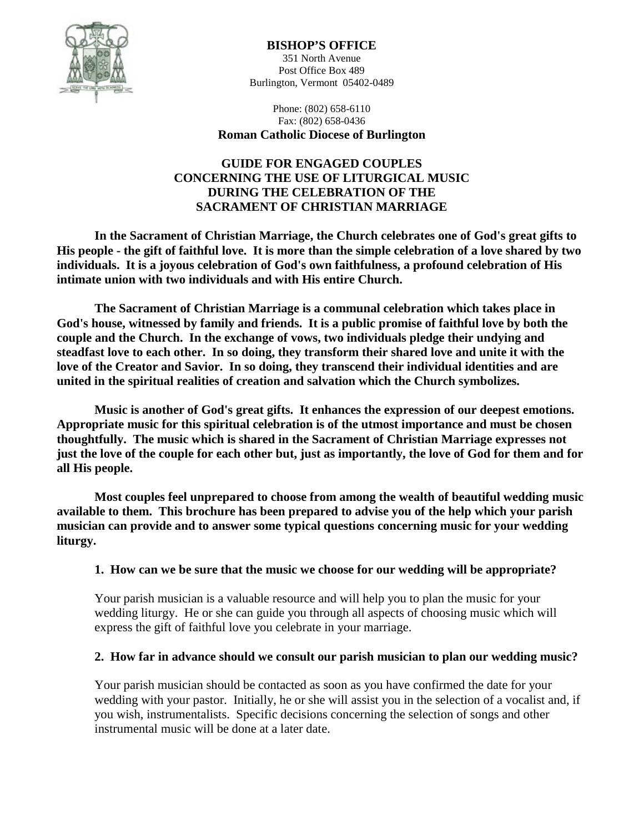

#### **BISHOP'S OFFICE**

351 North Avenue Post Office Box 489 Burlington, Vermont 05402-0489

Phone: (802) 658-6110 Fax: (802) 658-0436

# **Roman Catholic Diocese of Burlington**

#### **GUIDE FOR ENGAGED COUPLES CONCERNING THE USE OF LITURGICAL MUSIC DURING THE CELEBRATION OF THE SACRAMENT OF CHRISTIAN MARRIAGE**

 **In the Sacrament of Christian Marriage, the Church celebrates one of God's great gifts to His people - the gift of faithful love. It is more than the simple celebration of a love shared by two individuals. It is a joyous celebration of God's own faithfulness, a profound celebration of His intimate union with two individuals and with His entire Church.** 

 **The Sacrament of Christian Marriage is a communal celebration which takes place in God's house, witnessed by family and friends. It is a public promise of faithful love by both the couple and the Church. In the exchange of vows, two individuals pledge their undying and steadfast love to each other. In so doing, they transform their shared love and unite it with the love of the Creator and Savior. In so doing, they transcend their individual identities and are united in the spiritual realities of creation and salvation which the Church symbolizes.** 

 **Music is another of God's great gifts. It enhances the expression of our deepest emotions. Appropriate music for this spiritual celebration is of the utmost importance and must be chosen thoughtfully. The music which is shared in the Sacrament of Christian Marriage expresses not just the love of the couple for each other but, just as importantly, the love of God for them and for all His people.** 

 **Most couples feel unprepared to choose from among the wealth of beautiful wedding music available to them. This brochure has been prepared to advise you of the help which your parish musician can provide and to answer some typical questions concerning music for your wedding liturgy.**

#### **1. How can we be sure that the music we choose for our wedding will be appropriate?**

Your parish musician is a valuable resource and will help you to plan the music for your wedding liturgy. He or she can guide you through all aspects of choosing music which will express the gift of faithful love you celebrate in your marriage.

## **2. How far in advance should we consult our parish musician to plan our wedding music?**

Your parish musician should be contacted as soon as you have confirmed the date for your wedding with your pastor. Initially, he or she will assist you in the selection of a vocalist and, if you wish, instrumentalists. Specific decisions concerning the selection of songs and other instrumental music will be done at a later date.